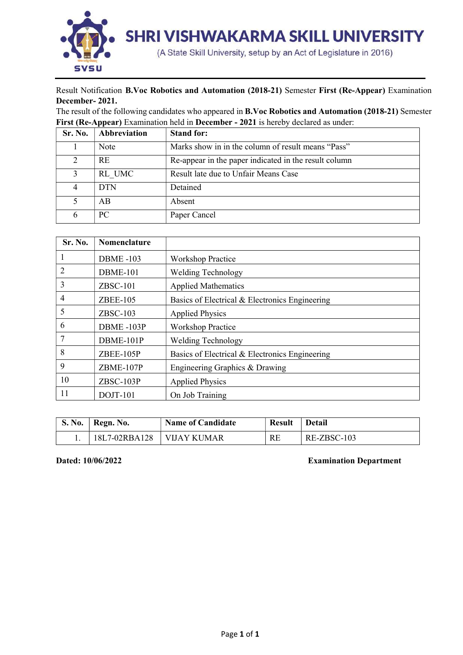

## Result Notification B.Voc Robotics and Automation (2018-21) Semester First (Re-Appear) Examination December- 2021.

The result of the following candidates who appeared in B.Voc Robotics and Automation (2018-21) Semester First (Re-Appear) Examination held in December - 2021 is hereby declared as under:

| Sr. No. | Abbreviation | <b>Stand for:</b>                                     |
|---------|--------------|-------------------------------------------------------|
|         | Note         | Marks show in in the column of result means "Pass"    |
| 2       | <b>RE</b>    | Re-appear in the paper indicated in the result column |
|         | RL UMC       | Result late due to Unfair Means Case                  |
|         | <b>DTN</b>   | Detained                                              |
|         | AB           | Absent                                                |
| 6       | PC           | Paper Cancel                                          |

| Sr. No.        | <b>Nomenclature</b> |                                                |
|----------------|---------------------|------------------------------------------------|
| 1              | <b>DBME-103</b>     | <b>Workshop Practice</b>                       |
| 2              | <b>DBME-101</b>     | <b>Welding Technology</b>                      |
| 3              | $ZBSC-101$          | <b>Applied Mathematics</b>                     |
| $\overline{4}$ | <b>ZBEE-105</b>     | Basics of Electrical & Electronics Engineering |
| 5              | $ZBSC-103$          | <b>Applied Physics</b>                         |
| 6              | DBME-103P           | <b>Workshop Practice</b>                       |
| 7              | DBME-101P           | <b>Welding Technology</b>                      |
| 8              | ZBEE-105P           | Basics of Electrical & Electronics Engineering |
| 9              | ZBME-107P           | Engineering Graphics & Drawing                 |
| 10             | ZBSC-103P           | <b>Applied Physics</b>                         |
| 11             | DOJT-101            | On Job Training                                |

| S. No. | Regn. No.     | <b>Name of Candidate</b> | <b>Result</b> | <b>Detail</b> |  |  |  |  |  |  |
|--------|---------------|--------------------------|---------------|---------------|--|--|--|--|--|--|
|        | 18L7-02RBA128 | VIJAY KUMAR              | RE            | RE-ZBSC-103   |  |  |  |  |  |  |

## Dated: 10/06/2022 Examination Department